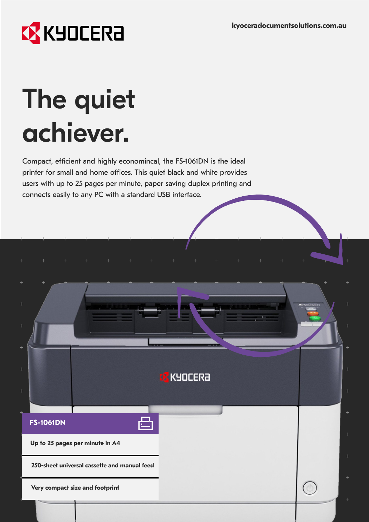

# The quiet achiever.

Compact, efficient and highly economincal, the FS-1061DN is the ideal printer for small and home offices. This quiet black and white provides users with up to 25 pages per minute, paper saving duplex printing and connects easily to any PC with a standard USB interface.